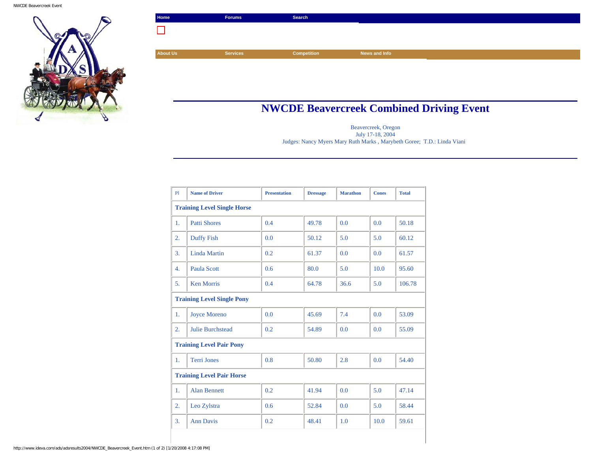

| Home            | <b>Forums</b>   | Search             |  |
|-----------------|-----------------|--------------------|--|
|                 |                 |                    |  |
|                 |                 |                    |  |
| <b>About Us</b> | <b>Services</b> | <b>Competition</b> |  |

## **NWCDE Beavercreek Combined Driving Event**

Beavercreek, Oregon July 17-18, 2004 Judges: Nancy Myers Mary Ruth Marks , Marybeth Goree; T.D.: Linda Viani

| P1                                 | <b>Name of Driver</b>   | <b>Presentation</b> | <b>Dressage</b> | <b>Marathon</b> | <b>Cones</b> | <b>Total</b> |  |  |
|------------------------------------|-------------------------|---------------------|-----------------|-----------------|--------------|--------------|--|--|
| <b>Training Level Single Horse</b> |                         |                     |                 |                 |              |              |  |  |
| $\mathbf{1}$ .                     | <b>Patti Shores</b>     | 0.4                 | 49.78           | 0.0             | 0.0          | 50.18        |  |  |
| 2.                                 | <b>Duffy Fish</b>       | 0.0                 | 50.12           | 5.0             | 5.0          | 60.12        |  |  |
| 3.                                 | <b>Linda Martin</b>     | 0.2                 | 61.37           | 0.0             | 0.0          | 61.57        |  |  |
| $\overline{4}$ .                   | <b>Paula Scott</b>      | 0.6                 | 80.0            | 5.0             | 10.0         | 95.60        |  |  |
| 5.                                 | <b>Ken Morris</b>       | 0.4                 | 64.78           | 36.6            | 5.0          | 106.78       |  |  |
| <b>Training Level Single Pony</b>  |                         |                     |                 |                 |              |              |  |  |
| 1.                                 | <b>Joyce Moreno</b>     | 0.0                 | 45.69           | 7.4             | 0.0          | 53.09        |  |  |
| 2.                                 | <b>Julie Burchstead</b> | 0.2                 | 54.89           | 0.0             | 0.0          | 55.09        |  |  |
| <b>Training Level Pair Pony</b>    |                         |                     |                 |                 |              |              |  |  |
| $\mathbf{1}$ .                     | <b>Terri Jones</b>      | 0.8                 | 50.80           | 2.8             | 0.0          | 54.40        |  |  |
| <b>Training Level Pair Horse</b>   |                         |                     |                 |                 |              |              |  |  |
| $\mathbf{1}$ .                     | <b>Alan Bennett</b>     | 0.2                 | 41.94           | 0.0             | 5.0          | 47.14        |  |  |
| 2.                                 | Leo Zylstra             | 0.6                 | 52.84           | 0.0             | 5.0          | 58.44        |  |  |
| 3.                                 | <b>Ann Davis</b>        | 0.2                 | 48.41           | 1.0             | 10.0         | 59.61        |  |  |